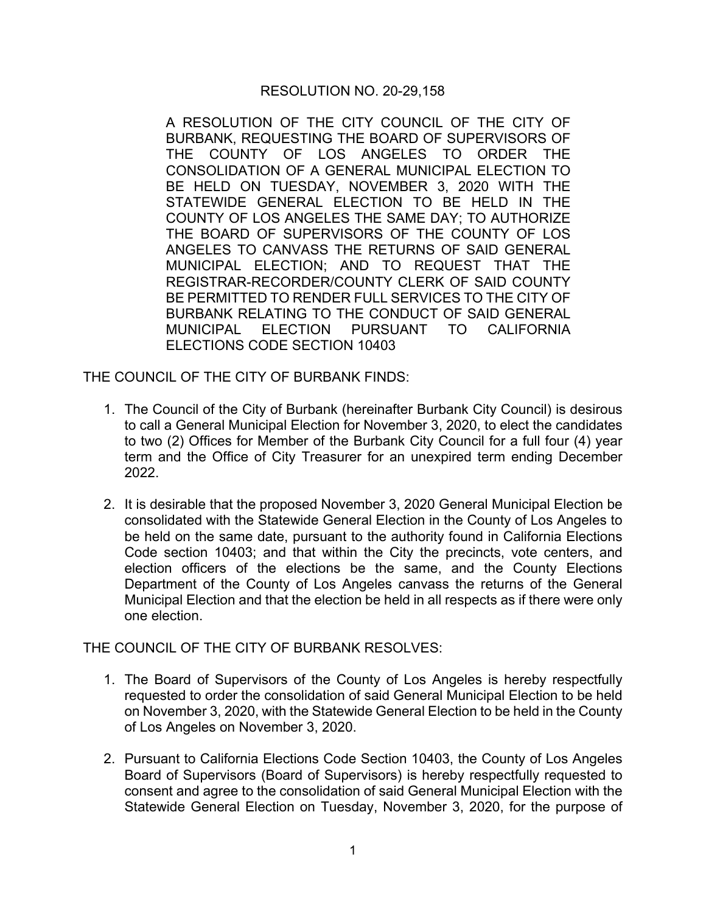## RESOLUTION NO. 20-29,158

A RESOLUTION OF THE CITY COUNCIL OF THE CITY OF BURBANK, REQUESTING THE BOARD OF SUPERVISORS OF THE COUNTY OF LOS ANGELES TO ORDER THE CONSOLIDATION OF A GENERAL MUNICIPAL ELECTION TO BE HELD ON TUESDAY, NOVEMBER 3, 2020 WITH THE STATEWIDE GENERAL ELECTION TO BE HELD IN THE COUNTY OF LOS ANGELES THE SAME DAY; TO AUTHORIZE THE BOARD OF SUPERVISORS OF THE COUNTY OF LOS ANGELES TO CANVASS THE RETURNS OF SAID GENERAL MUNICIPAL ELECTION; AND TO REQUEST THAT THE REGISTRAR-RECORDER/COUNTY CLERK OF SAID COUNTY BE PERMITTED TO RENDER FULL SERVICES TO THE CITY OF BURBANK RELATING TO THE CONDUCT OF SAID GENERAL MUNICIPAL ELECTION PURSUANT TO CALIFORNIA ELECTIONS CODE SECTION 10403

THE COUNCIL OF THE CITY OF BURBANK FINDS:

- 1. The Council of the City of Burbank (hereinafter Burbank City Council) is desirous to call a General Municipal Election for November 3, 2020, to elect the candidates to two (2) Offices for Member of the Burbank City Council for a full four (4) year term and the Office of City Treasurer for an unexpired term ending December 2022.
- 2. It is desirable that the proposed November 3, 2020 General Municipal Election be consolidated with the Statewide General Election in the County of Los Angeles to be held on the same date, pursuant to the authority found in California Elections Code section 10403; and that within the City the precincts, vote centers, and election officers of the elections be the same, and the County Elections Department of the County of Los Angeles canvass the returns of the General Municipal Election and that the election be held in all respects as if there were only one election.

THE COUNCIL OF THE CITY OF BURBANK RESOLVES:

- 1. The Board of Supervisors of the County of Los Angeles is hereby respectfully requested to order the consolidation of said General Municipal Election to be held on November 3, 2020, with the Statewide General Election to be held in the County of Los Angeles on November 3, 2020.
- 2. Pursuant to California Elections Code Section 10403, the County of Los Angeles Board of Supervisors (Board of Supervisors) is hereby respectfully requested to consent and agree to the consolidation of said General Municipal Election with the Statewide General Election on Tuesday, November 3, 2020, for the purpose of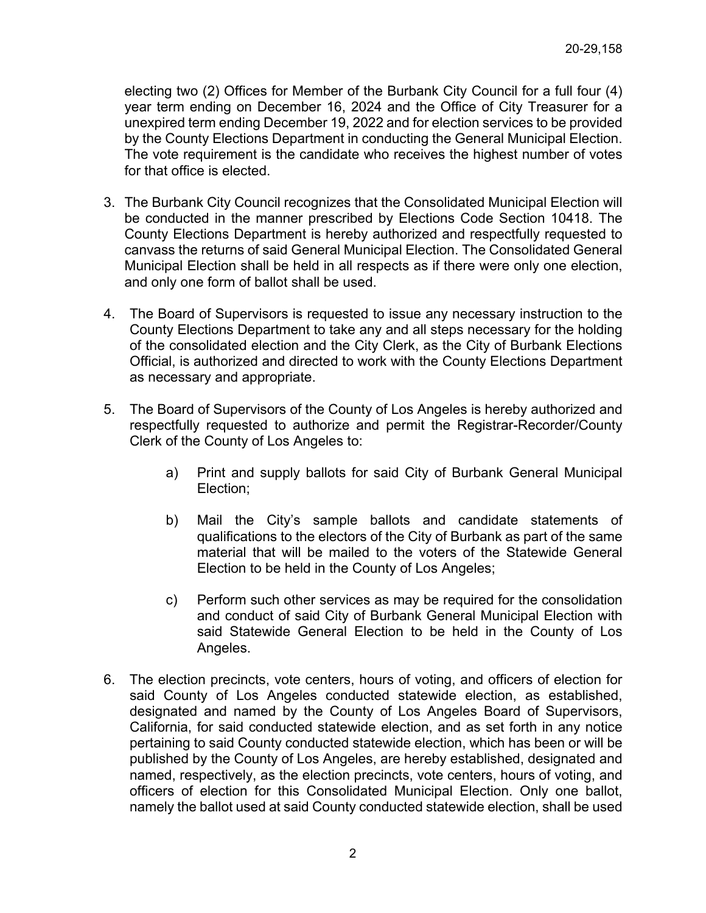electing two (2) Offices for Member of the Burbank City Council for a full four (4) year term ending on December 16, 2024 and the Office of City Treasurer for a unexpired term ending December 19, 2022 and for election services to be provided by the County Elections Department in conducting the General Municipal Election. The vote requirement is the candidate who receives the highest number of votes for that office is elected.

- 3. The Burbank City Council recognizes that the Consolidated Municipal Election will be conducted in the manner prescribed by Elections Code Section 10418. The County Elections Department is hereby authorized and respectfully requested to canvass the returns of said General Municipal Election. The Consolidated General Municipal Election shall be held in all respects as if there were only one election, and only one form of ballot shall be used.
- 4. The Board of Supervisors is requested to issue any necessary instruction to the County Elections Department to take any and all steps necessary for the holding of the consolidated election and the City Clerk, as the City of Burbank Elections Official, is authorized and directed to work with the County Elections Department as necessary and appropriate.
- 5. The Board of Supervisors of the County of Los Angeles is hereby authorized and respectfully requested to authorize and permit the Registrar-Recorder/County Clerk of the County of Los Angeles to:
	- a) Print and supply ballots for said City of Burbank General Municipal Election;
	- b) Mail the City's sample ballots and candidate statements of qualifications to the electors of the City of Burbank as part of the same material that will be mailed to the voters of the Statewide General Election to be held in the County of Los Angeles;
	- c) Perform such other services as may be required for the consolidation and conduct of said City of Burbank General Municipal Election with said Statewide General Election to be held in the County of Los Angeles.
- 6. The election precincts, vote centers, hours of voting, and officers of election for said County of Los Angeles conducted statewide election, as established, designated and named by the County of Los Angeles Board of Supervisors, California, for said conducted statewide election, and as set forth in any notice pertaining to said County conducted statewide election, which has been or will be published by the County of Los Angeles, are hereby established, designated and named, respectively, as the election precincts, vote centers, hours of voting, and officers of election for this Consolidated Municipal Election. Only one ballot, namely the ballot used at said County conducted statewide election, shall be used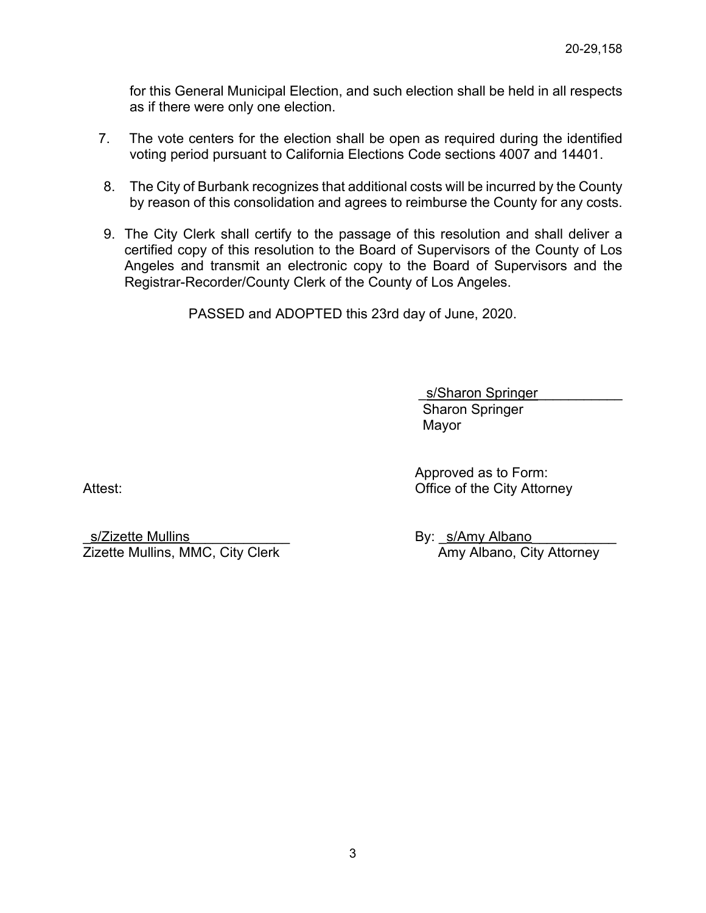for this General Municipal Election, and such election shall be held in all respects as if there were only one election.

- 7. The vote centers for the election shall be open as required during the identified voting period pursuant to California Elections Code sections 4007 and 14401.
- 8. The City of Burbank recognizes that additional costs will be incurred by the County by reason of this consolidation and agrees to reimburse the County for any costs.
- 9. The City Clerk shall certify to the passage of this resolution and shall deliver a certified copy of this resolution to the Board of Supervisors of the County of Los Angeles and transmit an electronic copy to the Board of Supervisors and the Registrar-Recorder/County Clerk of the County of Los Angeles.

PASSED and ADOPTED this 23rd day of June, 2020.

s/Sharon Springer Sharon Springer Mayor

Approved as to Form: Attest: **Office of the City Attorney** 

\_s/Zizette Mullins\_\_\_\_\_\_\_\_\_\_\_\_\_ By: \_s/Amy Albano\_\_\_\_\_\_\_\_\_\_\_ Zizette Mullins, MMC, City Clerk